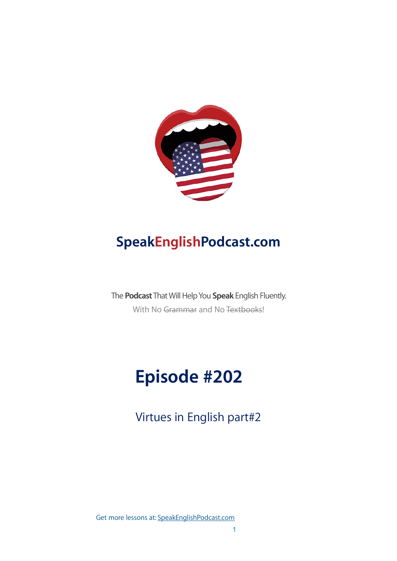

## **SpeakEnglishPodcast.com**

The **Podcast** That Will Help You **Speak** English Fluently. With No Grammar and No Textbooks!

# **Episode #202**

Virtues in English part#2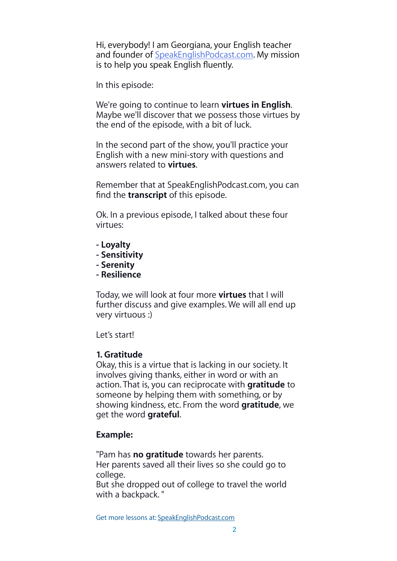Hi, everybody! I am Georgiana, your English teacher and founder of [SpeakEnglishPodcast.com](http://speakenglishpodcast.com/). My mission is to help you speak English fluently.

In this episode:

We're going to continue to learn **virtues in English**. Maybe we'll discover that we possess those virtues by the end of the episode, with a bit of luck.

In the second part of the show, you'll practice your English with a new mini-story with questions and answers related to **virtues**.

Remember that at SpeakEnglishPodcast.com, you can find the **transcript** of this episode.

Ok. In a previous episode, I talked about these four virtues:

- **Loyalty**
- **Sensitivity**
- **Serenity**
- **Resilience**

Today, we will look at four more **virtues** that I will further discuss and give examples. We will all end up very virtuous :)

Let's start!

## **1. Gratitude**

Okay, this is a virtue that is lacking in our society. It involves giving thanks, either in word or with an action. That is, you can reciprocate with **gratitude** to someone by helping them with something, or by showing kindness, etc. From the word **gratitude**, we get the word **grateful**.

## **Example:**

"Pam has **no gratitude** towards her parents. Her parents saved all their lives so she could go to college.

But she dropped out of college to travel the world with a backpack."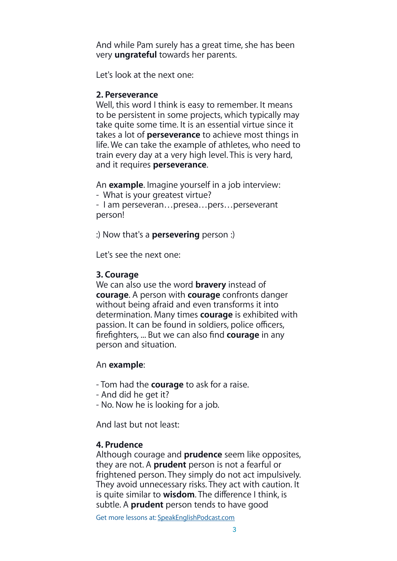And while Pam surely has a great time, she has been very **ungrateful** towards her parents.

Let's look at the next one:

## **2. Perseverance**

Well, this word I think is easy to remember. It means to be persistent in some projects, which typically may take quite some time. It is an essential virtue since it takes a lot of **perseverance** to achieve most things in life. We can take the example of athletes, who need to train every day at a very high level. This is very hard, and it requires **perseverance**.

An **example**. Imagine yourself in a job interview:

- What is your greatest virtue?

- I am perseveran…presea…pers…perseverant person!

:) Now that's a **persevering** person :)

Let's see the next one:

## **3. Courage**

We can also use the word **bravery** instead of **courage**. A person with **courage** confronts danger without being afraid and even transforms it into determination. Many times **courage** is exhibited with passion. It can be found in soldiers, police officers, firefighters, ... But we can also find **courage** in any person and situation.

## An **example**:

- Tom had the **courage** to ask for a raise.

- And did he get it?
- No. Now he is looking for a job.

And last but not least:

## **4. Prudence**

Although courage and **prudence** seem like opposites, they are not. A **prudent** person is not a fearful or frightened person. They simply do not act impulsively. They avoid unnecessary risks. They act with caution. It is quite similar to **wisdom**. The difference I think, is subtle. A **prudent** person tends to have good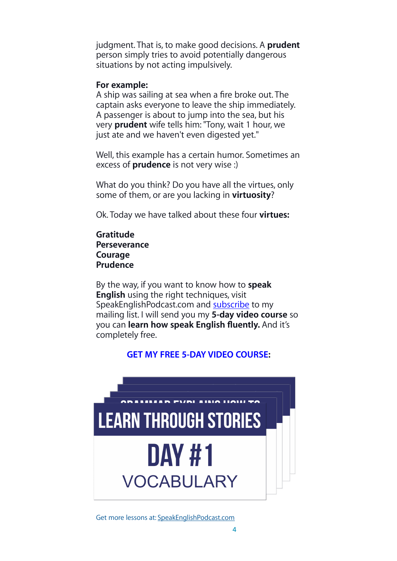judgment. That is, to make good decisions. A **prudent** person simply tries to avoid potentially dangerous situations by not acting impulsively.

#### **For example:**

A ship was sailing at sea when a fire broke out. The captain asks everyone to leave the ship immediately. A passenger is about to jump into the sea, but his very **prudent** wife tells him: "Tony, wait 1 hour, we just ate and we haven't even digested yet."

Well, this example has a certain humor. Sometimes an excess of **prudence** is not very wise :)

What do you think? Do you have all the virtues, only some of them, or are you lacking in **virtuosity**?

Ok. Today we have talked about these four **virtues:**

**Gratitude Perseverance Courage Prudence**

By the way, if you want to know how to **speak English** using the right techniques, visit SpeakEnglishPodcast.com and [subscribe](https://fluencythroughstories.lpages.co/method/) to my mailing list. I will send you my **5-day video course** so you can **learn how speak English fluently.** And it's completely free.

## **[GET MY FREE 5-DAY VIDEO COURSE:](https://fluencythroughstories.lpages.co/method/)**

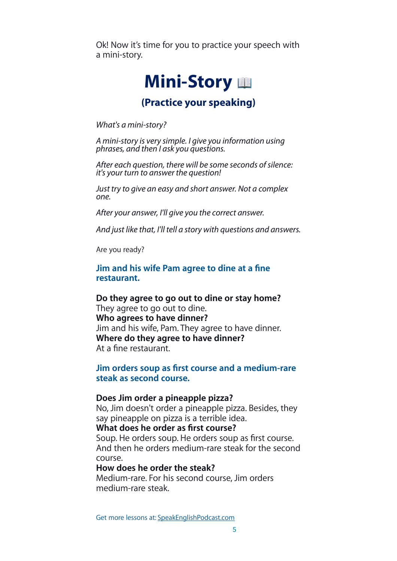Ok! Now it's time for you to practice your speech with a mini-story.

## **Mini-Story**

## **(Practice your speaking)**

*What's a mini-story?*

*A mini-story is very simple. I give you information using phrases, and then I ask you questions.*

*After each question, there will be some seconds of silence: it's your turn to answer the question!*

*Just try to give an easy and short answer. Not a complex one.*

*After your answer, I'll give you the correct answer.*

*And just like that, I'll tell a story with questions and answers.*

Are you ready?

**Jim and his wife Pam agree to dine at a fine restaurant.**

**Do they agree to go out to dine or stay home?** They agree to go out to dine. **Who agrees to have dinner?** Jim and his wife, Pam. They agree to have dinner. **Where do they agree to have dinner?** At a fine restaurant.

**Jim orders soup as first course and a medium-rare steak as second course.**

#### **Does Jim order a pineapple pizza?**

No, Jim doesn't order a pineapple pizza. Besides, they say pineapple on pizza is a terrible idea.

**What does he order as first course?**

Soup. He orders soup. He orders soup as first course. And then he orders medium-rare steak for the second course.

#### **How does he order the steak?**

Medium-rare. For his second course, Jim orders medium-rare steak.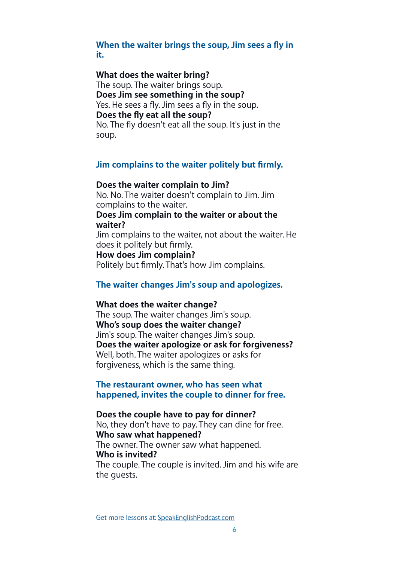## **When the waiter brings the soup, Jim sees a fly in it.**

#### **What does the waiter bring?**

The soup. The waiter brings soup. **Does Jim see something in the soup?** Yes. He sees a fly. Jim sees a fly in the soup. **Does the fly eat all the soup?** No. The fly doesn't eat all the soup. It's just in the soup.

#### **Jim complains to the waiter politely but firmly.**

#### **Does the waiter complain to Jim?**

No. No. The waiter doesn't complain to Jim. Jim complains to the waiter.

#### **Does Jim complain to the waiter or about the waiter?**

Jim complains to the waiter, not about the waiter. He does it politely but firmly.

#### **How does Jim complain?**

Politely but firmly. That's how Jim complains.

## **The waiter changes Jim's soup and apologizes.**

#### **What does the waiter change?**

The soup. The waiter changes Jim's soup. **Who's soup does the waiter change?** Jim's soup. The waiter changes Jim's soup. **Does the waiter apologize or ask for forgiveness?** Well, both. The waiter apologizes or asks for forgiveness, which is the same thing.

## **The restaurant owner, who has seen what happened, invites the couple to dinner for free.**

#### **Does the couple have to pay for dinner?**

No, they don't have to pay. They can dine for free. **Who saw what happened?**

The owner. The owner saw what happened. **Who is invited?**

The couple. The couple is invited. Jim and his wife are the guests.